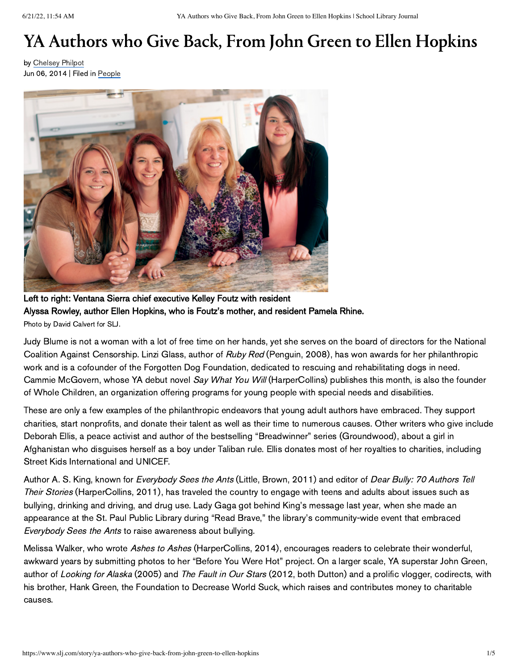# YA Authors who Give Back, From John Green to Ellen Hopkins

by [Chelsey](https://www.slj.com/author?query=Chelsey%20Philpot) Philpot Jun 06, 2014 | Filed in [People](https://www.slj.com/section/People)



Left to right: Ventana Sierra chief executive Kelley Foutz with resident Alyssa Rowley, author Ellen Hopkins, who is Foutz's mother, and resident Pamela Rhine. Photo by David Calvert for SLJ.

Judy Blume is not a woman with a lot of free time on her hands, yet she serves on the board of directors for the National Coalition Against Censorship. Linzi Glass, author of Ruby Red (Penguin, 2008), has won awards for her philanthropic work and is a cofounder of the Forgotten Dog Foundation, dedicated to rescuing and rehabilitating dogs in need. Cammie McGovern, whose YA debut novel Say What You Will (HarperCollins) publishes this month, is also the founder of Whole Children, an organization offering programs for young people with special needs and disabilities.

These are only a few examples of the philanthropic endeavors that young adult authors have embraced. They support charities, start nonprofits, and donate their talent as well as their time to numerous causes. Other writers who give include Deborah Ellis, a peace activist and author of the bestselling "Breadwinner" series (Groundwood), about a girl in Afghanistan who disguises herself as a boy under Taliban rule. Ellis donates most of her royalties to charities, including Street Kids International and UNICEF.

Author A. S. King, known for *Everybody Sees the Ants* (Little, Brown, 2011) and editor of *Dear Bully: 70 Authors Tell* Their Stories (HarperCollins, 2011), has traveled the country to engage with teens and adults about issues such as bullying, drinking and driving, and drug use. Lady Gaga got behind King's message last year, when she made an appearance at the St. Paul Public Library during "Read Brave," the library's community-wide event that embraced Everybody Sees the Ants to raise awareness about bullying.

Melissa Walker, who wrote Ashes to Ashes (HarperCollins, 2014), encourages readers to celebrate their wonderful, awkward years by submitting photos to her "Before You Were Hot" project. On a larger scale, YA superstar John Green, author of Looking for Alaska (2005) and The Fault in Our Stars (2012, both Dutton) and a prolific vlogger, codirects, with his brother, Hank Green, the Foundation to Decrease World Suck, which raises and contributes money to charitable causes.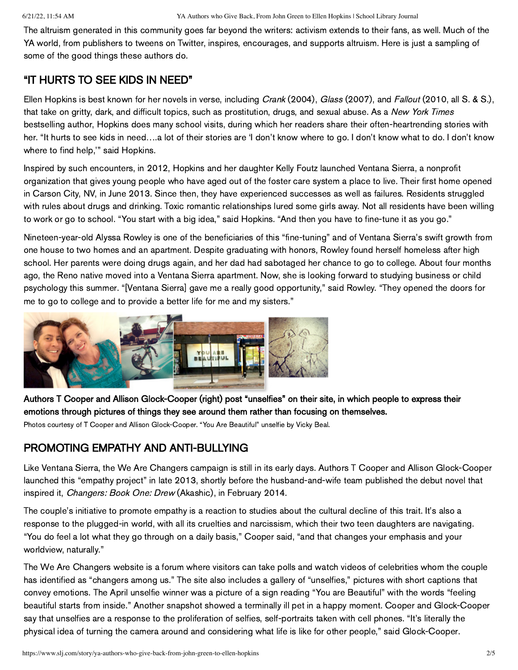The altruism generated in this community goes far beyond the writers: activism extends to their fans, as well. Much of the YA world, from publishers to tweens on Twitter, inspires, encourages, and supports altruism. Here is just a sampling of some of the good things these authors do.

## "IT HURTS TO SEE KIDS IN NEED"

Ellen Hopkins is best known for her novels in verse, including *Crank* (2004), *Glass* (2007), and *Fallout* (2010, all S. & S.), that take on gritty, dark, and difficult topics, such as prostitution, drugs, and sexual abuse. As a New York Times bestselling author, Hopkins does many school visits, during which her readers share their often-heartrending stories with her. "It hurts to see kids in need...a lot of their stories are 'I don't know where to go. I don't know what to do. I don't know where to find help,'" said Hopkins.

Inspired by such encounters, in 2012, Hopkins and her daughter Kelly Foutz launched Ventana Sierra, a nonprofit organization that gives young people who have aged out of the foster care system a place to live. Their first home opened in Carson City, NV, in June 2013. Since then, they have experienced successes as well as failures. Residents struggled with rules about drugs and drinking. Toxic romantic relationships lured some girls away. Not all residents have been willing to work or go to school. "You start with a big idea," said Hopkins. "And then you have to fine-tune it as you go."

Nineteen-year-old Alyssa Rowley is one of the beneficiaries of this "fine-tuning" and of Ventana Sierra's swift growth from one house to two homes and an apartment. Despite graduating with honors, Rowley found herself homeless after high school. Her parents were doing drugs again, and her dad had sabotaged her chance to go to college. About four months ago, the Reno native moved into a Ventana Sierra apartment. Now, she is looking forward to studying business or child psychology this summer. "[Ventana Sierra] gave me a really good opportunity," said Rowley. "They opened the doors for me to go to college and to provide a better life for me and my sisters."



Authors T Cooper and Allison Glock-Cooper (right) post "unselfies" on their site, in which people to express their emotions through pictures of things they see around them rather than focusing on themselves.

Photos courtesy of T Cooper and Allison Glock-Cooper. "You Are Beautiful" unselfie by Vicky Beal.

# PROMOTING EMPATHY AND ANTI-BULLYING

Like Ventana Sierra, the We Are Changers campaign is still in its early days. Authors T Cooper and Allison Glock-Cooper launched this "empathy project" in late 2013, shortly before the husband-and-wife team published the debut novel that inspired it, Changers: Book One: Drew (Akashic), in February 2014.

The couple's initiative to promote empathy is a reaction to studies about the cultural decline of this trait. It's also a response to the plugged-in world, with all its cruelties and narcissism, which their two teen daughters are navigating. "You do feel a lot what they go through on a daily basis," Cooper said, "and that changes your emphasis and your worldview, naturally."

The We Are Changers website is a forum where visitors can take polls and watch videos of celebrities whom the couple has identified as "changers among us." The site also includes a gallery of "unselfies," pictures with short captions that convey emotions. The April unselfie winner was a picture of a sign reading "You are Beautiful" with the words "feeling beautiful starts from inside." Another snapshot showed a terminally ill pet in a happy moment. Cooper and Glock-Cooper say that unselfies are a response to the proliferation of selfies, self-portraits taken with cell phones. "It's literally the physical idea of turning the camera around and considering what life is like for other people," said Glock-Cooper.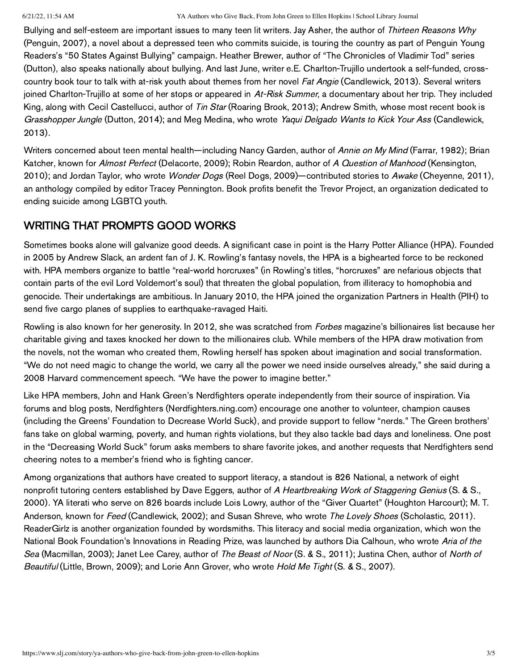#### 6/21/22, 11:54 AM YA Authors who Give Back, From John Green to Ellen Hopkins | School Library Journal

Bullying and self-esteem are important issues to many teen lit writers. Jay Asher, the author of Thirteen Reasons Why (Penguin, 2007), a novel about a depressed teen who commits suicide, is touring the country as part of Penguin Young Readers's "50 States Against Bullying" campaign. Heather Brewer, author of "The Chronicles of Vladimir Tod" series (Dutton), also speaks nationally about bullying. And last June, writer e.E. Charlton-Trujillo undertook a self-funded, crosscountry book tour to talk with at-risk youth about themes from her novel Fat Angie (Candlewick, 2013). Several writers joined Charlton-Trujillo at some of her stops or appeared in At-Risk Summer, a documentary about her trip. They included King, along with Cecil Castellucci, author of Tin Star (Roaring Brook, 2013); Andrew Smith, whose most recent book is Grasshopper Jungle (Dutton, 2014); and Meg Medina, who wrote Yaqui Delgado Wants to Kick Your Ass (Candlewick, 2013).

Writers concerned about teen mental health—including Nancy Garden, author of Annie on My Mind (Farrar, 1982); Brian Katcher, known for Almost Perfect (Delacorte, 2009); Robin Reardon, author of A Question of Manhood (Kensington, 2010); and Jordan Taylor, who wrote *Wonder Dogs* (Reel Dogs, 2009)—contributed stories to Awake (Cheyenne, 2011), an anthology compiled by editor Tracey Pennington. Book profits benefit the Trevor Project, an organization dedicated to ending suicide among LGBTQ youth.

## WRITING THAT PROMPTS GOOD WORKS

Sometimes books alone will galvanize good deeds. A significant case in point is the Harry Potter Alliance (HPA). Founded in 2005 by Andrew Slack, an ardent fan of J. K. Rowling's fantasy novels, the HPA is a bighearted force to be reckoned with. HPA members organize to battle "real-world horcruxes" (in Rowling's titles, "horcruxes" are nefarious objects that contain parts of the evil Lord Voldemort's soul) that threaten the global population, from illiteracy to homophobia and genocide. Their undertakings are ambitious. In January 2010, the HPA joined the organization Partners in Health (PIH) to send five cargo planes of supplies to earthquake-ravaged Haiti.

Rowling is also known for her generosity. In 2012, she was scratched from *Forbes* magazine's billionaires list because her charitable giving and taxes knocked her down to the millionaires club. While members of the HPA draw motivation from the novels, not the woman who created them, Rowling herself has spoken about imagination and social transformation. "We do not need magic to change the world, we carry all the power we need inside ourselves already," she said during a 2008 Harvard commencement speech. "We have the power to imagine better."

Like HPA members, John and Hank Green's Nerdfighters operate independently from their source of inspiration. Via forums and blog posts, Nerdfighters (Nerdfighters.ning.com) encourage one another to volunteer, champion causes (including the Greens' Foundation to Decrease World Suck), and provide support to fellow "nerds." The Green brothers' fans take on global warming, poverty, and human rights violations, but they also tackle bad days and loneliness. One post in the "Decreasing World Suck" forum asks members to share favorite jokes, and another requests that Nerdfighters send cheering notes to a member's friend who is fighting cancer.

Among organizations that authors have created to support literacy, a standout is 826 National, a network of eight nonprofit tutoring centers established by Dave Eggers, author of A Heartbreaking Work of Staggering Genius (S. & S., 2000). YA literati who serve on 826 boards include Lois Lowry, author of the "Giver Quartet" (Houghton Harcourt); M. T. Anderson, known for Feed (Candlewick, 2002); and Susan Shreve, who wrote The Lovely Shoes (Scholastic, 2011). ReaderGirlz is another organization founded by wordsmiths. This literacy and social media organization, which won the National Book Foundation's Innovations in Reading Prize, was launched by authors Dia Calhoun, who wrote Aria of the Sea (Macmillan, 2003); Janet Lee Carey, author of The Beast of Noor (S. & S., 2011); Justina Chen, author of North of Beautiful (Little, Brown, 2009); and Lorie Ann Grover, who wrote Hold Me Tight (S. & S., 2007).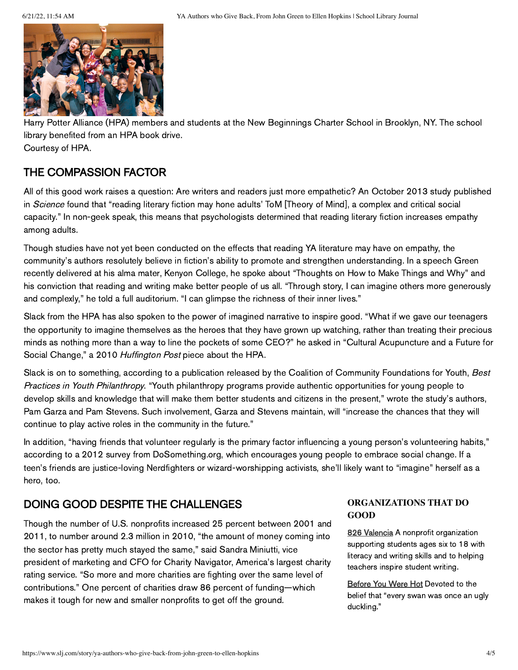

Harry Potter Alliance (HPA) members and students at the New Beginnings Charter School in Brooklyn, NY. The school library benefited from an HPA book drive.

Courtesy of HPA.

# THE COMPASSION FACTOR

All of this good work raises a question: Are writers and readers just more empathetic? An October 2013 study published in Science found that "reading literary fiction may hone adults' ToM [Theory of Mind], a complex and critical social capacity." In non-geek speak, this means that psychologists determined that reading literary fiction increases empathy among adults.

Though studies have not yet been conducted on the effects that reading YA literature may have on empathy, the community's authors resolutely believe in fiction's ability to promote and strengthen understanding. In a speech Green recently delivered at his alma mater, Kenyon College, he spoke about "Thoughts on How to Make Things and Why" and his conviction that reading and writing make better people of us all. "Through story, I can imagine others more generously and complexly," he told a full auditorium. "I can glimpse the richness of their inner lives."

Slack from the HPA has also spoken to the power of imagined narrative to inspire good. "What if we gave our teenagers the opportunity to imagine themselves as the heroes that they have grown up watching, rather than treating their precious minds as nothing more than a way to line the pockets of some CEO?" he asked in "Cultural Acupuncture and a Future for Social Change," a 2010 Huffington Post piece about the HPA.

Slack is on to something, according to a publication released by the Coalition of Community Foundations for Youth, Best Practices in Youth Philanthropy. "Youth philanthropy programs provide authentic opportunities for young people to develop skills and knowledge that will make them better students and citizens in the present," wrote the study's authors, Pam Garza and Pam Stevens. Such involvement, Garza and Stevens maintain, will "increase the chances that they will continue to play active roles in the community in the future."

In addition, "having friends that volunteer regularly is the primary factor influencing a young person's volunteering habits," according to a 2012 survey from DoSomething.org, which encourages young people to embrace social change. If a teen's friends are justice-loving Nerdfighters or wizard-worshipping activists, she'll likely want to "imagine" herself as a hero, too.

# DOING GOOD DESPITE THE CHALLENGES

Though the number of U.S. nonprofits increased 25 percent between 2001 and 2011, to number around 2.3 million in 2010, "the amount of money coming into the sector has pretty much stayed the same," said Sandra Miniutti, vice president of marketing and CFO for Charity Navigator, America's largest charity rating service. "So more and more charities are fighting over the same level of contributions." One percent of charities draw 86 percent of funding—which makes it tough for new and smaller nonprofits to get off the ground.

#### **ORGANIZATIONS THAT DO GOOD**

826 [Valencia](http://826valencia.org/) A nonprofit organization supporting students ages six to 18 with literacy and writing skills and to helping teachers inspire student writing.

**[Before](http://beforeyouwerehot.com/) You Were Hot Devoted to the** belief that "every swan was once an ugly duckling."